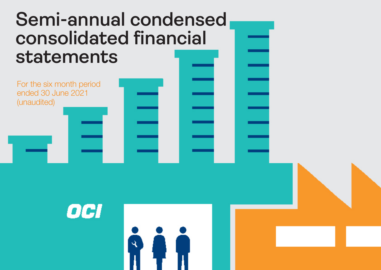# **Semi-annual condensed consolidated financial statements**

ષિ

For the six month period ended 30 June 2021 (unaudited)

OCI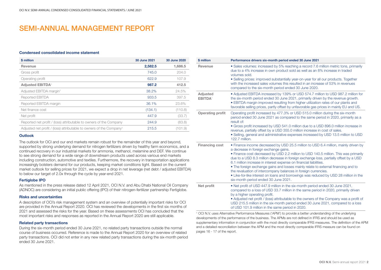### SEMI-ANNUAL MANAGEMENT REPORT

#### Condensed consolidated income statement

| \$ million                                                                      | 30 June 2021 | 30 June 2020 |
|---------------------------------------------------------------------------------|--------------|--------------|
| Revenue                                                                         | 2,582.5      | 1,686.5      |
| Gross profit                                                                    | 745.0        | 204.0        |
| Operating profit                                                                | 622.9        | 107.9        |
| <b>Adiusted EBITDA<sup>1</sup></b>                                              | 987.2        | 412.5        |
| Adjusted EBITDA margin <sup>1</sup>                                             | 38.2%        | 24.5%        |
| Reported EBITDA                                                                 | 933.5        | 397.5        |
| Reported EBITDA margin                                                          | 36.1%        | 23.6%        |
| Net finance cost                                                                | (134.1)      | (110.8)      |
| Net profit                                                                      | 447.9        | (33.7)       |
| Reported net profit / (loss) attributable to owners of the Company              | 244.9        | (83.8)       |
| Adjusted net profit / (loss) attributable to owners of the Company <sup>1</sup> | 215.5        | (101.9)      |

#### **Outlook**

The outlook for OCI and our end markets remain robust for the remainder of this year and beyond, supported by strong underlying demand for nitrogen fertilizers driven by healthy farm economics, and a continued recovery in our industrial markets for ammonia, methanol, melamine and DEF. We continue to see strong demand for a wide range of downstream products used across various end markets including construction, automotive and textiles. Furthermore, the recovery in transportation applications increasingly bolsters demand for our products, keeping market conditions tight. Based on the current market outlook for selling prices for 2021, we expect a drop in net leverage (net debt / adjusted EBITDA) to below our target of 2.0x through the cycle by year-end 2021.

#### Fertiglobe IPO

As mentioned in the press release dated 12 April 2021, OCI N.V. and Abu Dhabi National Oil Company (ADNOC) are considering an initial public offering (IPO) of their nitrogen-fertilizer partnership Fertiglobe.

#### Risks and uncertainties

A description of OCI's risk management system and an overview of potentially important risks for OCI are provided in the Annual Report 2020. OCI has reviewed the developments in the first six months of 2021 and assessed the risks for the year. Based on these assessments OCI has concluded that the most important risks and responses as reported in the Annual Report 2020 are still applicable.

#### Related party transactions

During the six-month period ended 30 June 2021, no related party transactions outside the normal course of business occurred. Reference is made to the Annual Report 2020 for an overview of related party transactions. OCI did not enter in any new related party transactions during the six-month period ended 30 June 2021.

| \$ million                             | Performance drivers six-month period ended 30 June 2021                                                                                                                                                                                                                                                                                                                                                                                                                                                                                                                                                                                                                       |
|----------------------------------------|-------------------------------------------------------------------------------------------------------------------------------------------------------------------------------------------------------------------------------------------------------------------------------------------------------------------------------------------------------------------------------------------------------------------------------------------------------------------------------------------------------------------------------------------------------------------------------------------------------------------------------------------------------------------------------|
| Revenue                                | • Sales volumes: increased by 5% reaching a record 7.6 million metric tons, primarily<br>due to a 4% increase in own product sold as well as an 8% increase in traded<br>volumes sold.<br>• Selling prices: improved substantially year-on-year for all our products. Together<br>with the increased sales volumes this resulted in an increase of 53% in revenues<br>compared to the six-month period ended 30 June 2020.                                                                                                                                                                                                                                                    |
| Adjusted<br><b>EBITDA</b> <sup>1</sup> | • Adjusted EBITDA increased by 139% or USD 574.7 million to USD 987.2 million for<br>the six-month period ended 30 June 2021, primarily driven by the revenue growth.<br>• EBITDA margin improved resulting from higher utilization rates of our plants and<br>favorable selling prices, partly offset by unfavorable gas prices in mainly EU and US.                                                                                                                                                                                                                                                                                                                         |
| <b>Operating profit</b>                | Operating profit increased by 477.3% or USD 515.0 million during the six-month<br>period ended 30 June 2021 as compared to the same period in 2020, primarily as a<br>result of:<br>• Gross profit increased by USD 541.0 million due to a USD 896.0 million increase in<br>revenue, partially offset by a USD 355.0 million increase in cost of sales.<br>. Selling, general and administrative expenses increased by USD 13.5 million to USD<br>122.7 million.                                                                                                                                                                                                              |
| <b>Financing cost</b>                  | • Finance income decreased by USD 25.5 million to USD 6.4 million, mainly driven by<br>a decrease in foreign exchange gains.<br>. Finance cost decreased by USD 2.2 million to USD 140.5 million. This was primarily<br>due to a USD 8.3 million decrease in foreign exchange loss, partially offset by a USD<br>6.1 million increase in interest expense on financial liabilities.<br>• The foreign exchange gains and losses mainly relate to external financing and to<br>the revaluation of intercompany balances in foreign currencies.<br>• Like-for-like interest on loans and borrowings was reduced by USD 28 million in the<br>six-month period ended 30 June 2021. |
| Net profit                             | • Net profit of USD 447.9 million in the six-month period ended 30 June 2021,<br>compared to a loss of USD 33.7 million in the same period in 2020, primarily driven<br>by a higher operating profit.<br>• Adjusted net profit / (loss) attributable to the owners of the Company was a profit of<br>USD 215.5 million in the six-month period ended 30 June 2021, compared to a loss<br>of USD 101.9 million in the same period in 2020.                                                                                                                                                                                                                                     |

1 OCI N.V. uses Alternative Performance Measures ('APM') to provide a better understanding of the underlying developments of the performance of the business. The APMs are not defined in IFRS and should be used as supplementary information in conjunction with the most directly comparable IFRS measures. The definition of the APM and a detailed reconciliation between the APM and the most directly comparable IFRS measure can be found on pages 16 - 17 of the report.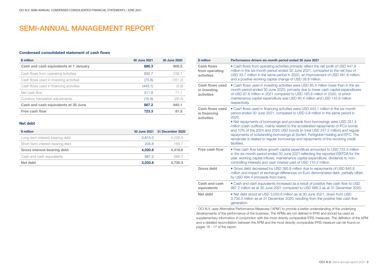### SEMI-ANNUAL MANAGEMENT REPORT

#### Condensed consolidated statement of cash flows

| \$ million                              | 30 June 2021 | 30 June 2020 |
|-----------------------------------------|--------------|--------------|
| Cash and cash equivalents at 1 January  | 686.3        | 600.5        |
| Cash flows from operating activities    | 830.7        | 238.1        |
| Cash flows used in investing activities | (75.8)       | (161.2)      |
| Cash flows used in financing activities | (443.1)      | (5.8)        |
| Net cash flow                           | 311.8        | 71.1         |
| Currency translation adjustments        | (10.9)       | (26.5)       |
| Cash and cash equivalents at 30 June    | 987.2        | 645.1        |
| Free cash flow <sup>1</sup>             | 723.3        | 81.5         |

#### Net debt

| \$ million                       |         | 30 June 2021 31 December 2020 |
|----------------------------------|---------|-------------------------------|
| Long-term interest-bearing debt  | 3.815.0 | 4.226.9                       |
| Short-term interest-bearing debt | 205.8   | 189.7                         |
| Gross interest-bearing debt      | 4.020.8 | 4.416.6                       |
| Cash and cash equivalents        | 987.2   | 686.3                         |
| Net debt                         | 3.033.6 | 3.730.3                       |

| \$ million                                    | Performance drivers six-month period ended 30 June 2021                                                                                                                                                                                                                                                                                                                                                                                                                                                                                                                                                                   |
|-----------------------------------------------|---------------------------------------------------------------------------------------------------------------------------------------------------------------------------------------------------------------------------------------------------------------------------------------------------------------------------------------------------------------------------------------------------------------------------------------------------------------------------------------------------------------------------------------------------------------------------------------------------------------------------|
| Cash flows<br>from operating<br>activities    | • Cash flows from operating activities primarily reflect the net profit of USD 447.9<br>million in the six-month period ended 30 June 2021, compared to the net loss of<br>USD 33.7 million in the same period in 2020, an improvement of USD 481.6 million,<br>and a positive working capital change of USD 26.8 million.                                                                                                                                                                                                                                                                                                |
| Cash flows used<br>in investing<br>activities | • Cash flows used in investing activities were USD 85.4 million lower than in the six-<br>month period ended 30 June 2020, primarily due to lower cash capital expenditures<br>of USD 87.6 million in 2021 compared to USD 163.8 million in 2020, of which<br>maintenance capital expenditure was USD 85.4 million and USD 142.6 million<br>respectively.                                                                                                                                                                                                                                                                 |
| Cash flows used<br>in financing<br>activities | • Cash flows used in financing activities were USD 443.1 million in the six-month<br>period ended 30 June 2021, compared to USD 5.8 million in the same period in<br>2020.<br>• Net repayments of borrowings and proceeds from borrowings were USD 351.4<br>million (cash outflow), mainly related to the accelerated repayments of IFCo bonds<br>and 10% of the 2024 and 2025 USD bonds (in total USD 247.2 million) and regular<br>repayments of outstanding borrowings at Sorfert, Fertiglobe Holding and EFC. The<br>remainder is related to regular borrowings and repayments of the revolving credit<br>facilities. |
| Free cash flow <sup>1</sup>                   | • Free cash flow before growth capital expenditure amounted to USD 723.3 million<br>in the six-month period ended 30 June 2021 reflecting the reported EBITDA for the<br>year, working capital inflows, maintenance capital expenditure, dividends to non-<br>controlling interests and cash interest paid of USD 110.2 million.                                                                                                                                                                                                                                                                                          |
| Gross debt                                    | • Gross debt decreased by USD 395.8 million due to repayments of USD 845.8<br>million and impact of exchange differences on Euro denominated debt, partially offset<br>by USD 494.4 proceeds from loans.                                                                                                                                                                                                                                                                                                                                                                                                                  |
| Cash and cash<br>equivalents                  | • Cash and cash equivalents increased as a result of positive free cash flow to USD<br>987.2 million as at 30 June 2021 compared to USD 686.3 as at 31 December 2020.                                                                                                                                                                                                                                                                                                                                                                                                                                                     |
| Net debt                                      | . Net debt stood at USD 3,033.6 million as at 30 June 2021, down from USD<br>3,730.3 million as at 31 December 2020, resulting from the positive free cash flow<br>generation.                                                                                                                                                                                                                                                                                                                                                                                                                                            |

1 OCI N.V. uses Alternative Performance Measures ('APM') to provide a better understanding of the underlying developments of the performance of the business. The APMs are not defined in IFRS and should be used as supplementary information in conjunction with the most directly comparable IFRS measures. The definition of the APM and a detailed reconciliation between the APM and the most directly comparable IFRS measure can be found on pages 16 - 17 of the report.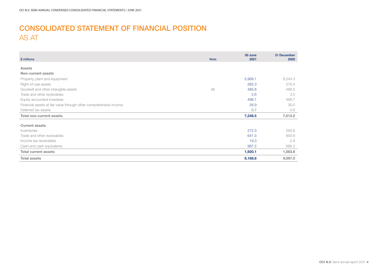# CONSOLIDATED STATEMENT OF FINANCIAL POSITION AS AT

| \$ millions                                                       | <b>Note</b> | 30 June<br>2021 | 31 December<br>2020 |
|-------------------------------------------------------------------|-------------|-----------------|---------------------|
|                                                                   |             |                 |                     |
| <b>Assets</b>                                                     |             |                 |                     |
| Non-current assets                                                |             |                 |                     |
| Property, plant and equipment                                     |             | 5,969.1         | 6,244.3             |
| Right-of-use assets                                               |             | 265.3           | 279.4               |
| Goodwill and other intangible assets                              | (8)         | 485.8           | 486.5               |
| Trade and other receivables                                       |             | 2.6             | 3.5                 |
| Equity-accounted investees                                        |             | 498.1           | 468.7               |
| Financial assets at fair value through other comprehensive income |             | 26.9            | 30.0                |
| Deferred tax assets                                               |             | 0.7             | 0.8                 |
| <b>Total non-current assets</b>                                   |             | 7,248.5         | 7,513.2             |
| <b>Current assets</b>                                             |             |                 |                     |
| Inventories                                                       |             | 272.3           | 293.8               |
| Trade and other receivables                                       |             | 641.3           | 600.9               |
| Income tax receivables                                            |             | 19.3            | 2.8                 |
| Cash and cash equivalents                                         |             | 987.2           | 686.3               |
| <b>Total current assets</b>                                       |             | 1,920.1         | 1,583.8             |
| <b>Total assets</b>                                               |             | 9,168.6         | 9,097.0             |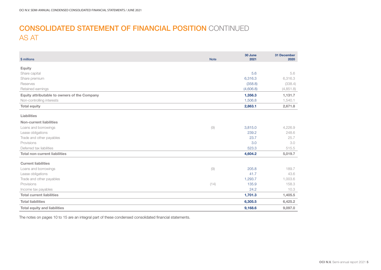# CONSOLIDATED STATEMENT OF FINANCIAL POSITION CONTINUED AS AT

| \$ millions                                  | <b>Note</b>            | 30 June<br>2021 | 31 December<br>2020 |
|----------------------------------------------|------------------------|-----------------|---------------------|
| <b>Equity</b>                                |                        |                 |                     |
| Share capital                                |                        | 5.6             | 5.6                 |
| Share premium                                |                        | 6,316.3         | 6,316.3             |
| Reserves                                     |                        | (358.8)         | (338.4)             |
| Retained earnings                            |                        | (4,606.8)       | (4, 851.8)          |
| Equity attributable to owners of the Company |                        | 1,356.3         | 1,131.7             |
| Non-controlling interests                    |                        | 1,506.8         | 1,540.1             |
| <b>Total equity</b>                          |                        | 2,863.1         | 2,671.8             |
| Liabilities                                  |                        |                 |                     |
| Non-current liabilities                      |                        |                 |                     |
| Loans and borrowings                         | $\left( \odot \right)$ | 3,815.0         | 4,226.9             |
| Lease obligations                            |                        | 239.2           | 248.6               |
| Trade and other payables                     |                        | 23.7            | 25.7                |
| Provisions                                   |                        | 3.0             | 3.0                 |
| Deferred tax liabilities                     |                        | 523.3           | 515.5               |
| <b>Total non-current liabilities</b>         |                        | 4,604.2         | 5,019.7             |
| <b>Current liabilities</b>                   |                        |                 |                     |
| Loans and borrowings                         | (9)                    | 205.8           | 189.7               |
| Lease obligations                            |                        | 41.7            | 43.6                |
| Trade and other payables                     |                        | 1,293.7         | 1,003.6             |
| Provisions                                   | (14)                   | 135.9           | 158.3               |
| Income tax payables                          |                        | 24.2            | 10.3                |
| <b>Total current liabilities</b>             |                        | 1,701.3         | 1,405.5             |
| <b>Total liabilities</b>                     |                        | 6,305.5         | 6,425.2             |
| <b>Total equity and liabilities</b>          |                        | 9,168.6         | 9,097.0             |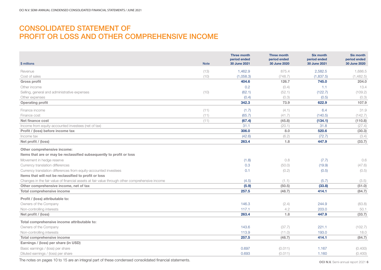### CONSOLIDATED STATEMENT OF PROFIT OR LOSS AND OTHER COMPREHENSIVE INCOME

| \$ millions                                                                                                                                                                                                                                                                                                                                                                                                                                                                        | <b>Note</b> | <b>Three month</b><br>period ended<br>30 June 2021 | <b>Three month</b><br>period ended<br>30 June 2020  | <b>Six month</b><br>period ended<br>30 June 2021     | <b>Six month</b><br>period ended<br>30 June 2020    |
|------------------------------------------------------------------------------------------------------------------------------------------------------------------------------------------------------------------------------------------------------------------------------------------------------------------------------------------------------------------------------------------------------------------------------------------------------------------------------------|-------------|----------------------------------------------------|-----------------------------------------------------|------------------------------------------------------|-----------------------------------------------------|
| Revenue                                                                                                                                                                                                                                                                                                                                                                                                                                                                            | (13)        | 1.462.9                                            | 875.4                                               | 2.582.5                                              | 1.686.5                                             |
| Cost of sales                                                                                                                                                                                                                                                                                                                                                                                                                                                                      | (10)        | (1,058.3)                                          | (748.7)                                             | (1,837.5)                                            | (1,482.5)                                           |
| <b>Gross profit</b>                                                                                                                                                                                                                                                                                                                                                                                                                                                                |             | 404.6                                              | 126.7                                               | 745.0                                                | 204.0                                               |
| Other income                                                                                                                                                                                                                                                                                                                                                                                                                                                                       |             | 0.2                                                | (0.4)                                               | 1.1                                                  | 13.4                                                |
| Selling, general and administrative expenses                                                                                                                                                                                                                                                                                                                                                                                                                                       | (10)        | (62.1)                                             | (52.1)                                              | (122.7)                                              | (109.2)                                             |
| Other expenses                                                                                                                                                                                                                                                                                                                                                                                                                                                                     |             | (0.4)                                              | (0.3)                                               | (0.5)                                                | (0.3)                                               |
| <b>Operating profit</b>                                                                                                                                                                                                                                                                                                                                                                                                                                                            |             | 342.3                                              | 73.9                                                | 622.9                                                | 107.9                                               |
|                                                                                                                                                                                                                                                                                                                                                                                                                                                                                    |             |                                                    |                                                     |                                                      |                                                     |
| Finance income                                                                                                                                                                                                                                                                                                                                                                                                                                                                     | (11)        | (1.7)                                              | (4.1)                                               | 6.4                                                  | 31.9                                                |
| Finance cost<br>Net finance cost                                                                                                                                                                                                                                                                                                                                                                                                                                                   | (11)        | (65.7)                                             | (41.7)                                              | (140.5)                                              | (142.7)                                             |
|                                                                                                                                                                                                                                                                                                                                                                                                                                                                                    | (11)        | (67.4)<br>31.1                                     | (45.8)                                              | (134.1)<br>31.8                                      | (110.8)                                             |
| Income from equity-accounted investees (net of tax)                                                                                                                                                                                                                                                                                                                                                                                                                                |             | 306.0                                              | (20.1)<br>8.0                                       | 520.6                                                | (27.4)                                              |
| Profit / (loss) before income tax<br>Income tax                                                                                                                                                                                                                                                                                                                                                                                                                                    |             | (42.6)                                             |                                                     | (72.7)                                               | (30.3)                                              |
| Net profit / (loss)                                                                                                                                                                                                                                                                                                                                                                                                                                                                |             | 263.4                                              | (6.2)<br>1.8                                        | 447.9                                                | (3.4)<br>(33.7)                                     |
| Other comprehensive income:<br>Items that are or may be reclassified subsequently to profit or loss<br>Movement in hedge reserve<br>Currency translation differences<br>Currency translation differences from equity-accounted investees<br>Items that will not be reclassified to profit or loss<br>Changes in the fair value of financial assets at fair value through other comprehensive income<br>Other comprehensive income, net of tax<br><b>Total comprehensive income</b> |             | (1.8)<br>0.3<br>0.1<br>(4.5)<br>(5.9)<br>257.5     | 0.8<br>(50.0)<br>(0.2)<br>(1.1)<br>(50.5)<br>(48.7) | (7.7)<br>(19.9)<br>(0.5)<br>(5.7)<br>(33.8)<br>414.1 | 0.6<br>(47.6)<br>(0.5)<br>(3.5)<br>(51.0)<br>(84.7) |
| Profit / (loss) attributable to:                                                                                                                                                                                                                                                                                                                                                                                                                                                   |             |                                                    |                                                     |                                                      |                                                     |
| Owners of the Company                                                                                                                                                                                                                                                                                                                                                                                                                                                              |             | 146.3                                              | (2.4)                                               | 244.9                                                | (83.8)                                              |
| Non-controlling interests                                                                                                                                                                                                                                                                                                                                                                                                                                                          |             | 117.1                                              | 4.2                                                 | 203.0                                                | 50.1                                                |
| Net profit / (loss)                                                                                                                                                                                                                                                                                                                                                                                                                                                                |             | 263.4                                              | 1.8                                                 | 447.9                                                | (33.7)                                              |
| Total comprehensive income attributable to:<br>Owners of the Company<br>Non-controlling interests<br>Total comprehensive income                                                                                                                                                                                                                                                                                                                                                    |             | 143.6<br>113.9<br>257.5                            | (37.7)<br>(11.0)<br>(48.7)                          | 221.1<br>193.0<br>414.1                              | (102.7)<br>18.0<br>(84.7)                           |
| Earnings / (loss) per share (in USD)                                                                                                                                                                                                                                                                                                                                                                                                                                               |             |                                                    |                                                     |                                                      |                                                     |
| Basic earnings / (loss) per share<br>Diluted earnings / (loss) per share                                                                                                                                                                                                                                                                                                                                                                                                           |             | 0.697<br>0.693                                     | (0.011)<br>(0.011)                                  | 1.167<br>1.160                                       | (0.400)<br>(0.400)                                  |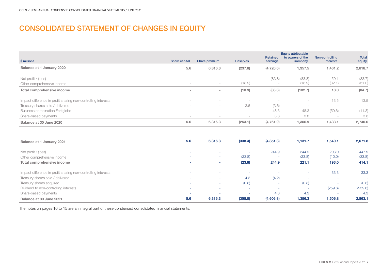# CONSOLIDATED STATEMENT OF CHANGES IN EQUITY

|                                                               |                                 |                                 |                 | <b>Retained</b> | <b>Equity attributable</b><br>to owners of the | Non-controlling                 | <b>Total</b> |
|---------------------------------------------------------------|---------------------------------|---------------------------------|-----------------|-----------------|------------------------------------------------|---------------------------------|--------------|
| \$ millions                                                   | Share capital                   | Share premium                   | <b>Reserves</b> | earnings        | Company                                        | interests                       | equity       |
| Balance at 1 January 2020                                     | 5.6                             | 6,316.3                         | (237.8)         | (4,726.6)       | 1,357.5                                        | 1,461.2                         | 2,818.7      |
| Net profit / (loss)                                           |                                 |                                 |                 | (83.8)          | (83.8)                                         | 50.1                            | (33.7)       |
| Other comprehensive income                                    | $\overline{\phantom{a}}$        | $\hspace{0.1mm}-\hspace{0.1mm}$ | (18.9)          |                 | (18.9)                                         | (32.1)                          | (51.0)       |
| Total comprehensive income                                    | $\overline{\phantom{a}}$        | $\overline{\phantom{a}}$        | (18.9)          | (83.8)          | (102.7)                                        | 18.0                            | (84.7)       |
| Impact difference in profit sharing non-controlling interests |                                 |                                 |                 |                 | $\sim$                                         | 13.5                            | 13.5         |
| Treasury shares sold / delivered                              | $\sim$                          | $\sim$                          | 3.6             | (3.6)           | $\sim$                                         | -                               |              |
| <b>Business combination Fertiglobe</b>                        | $\overline{\phantom{a}}$        | $\hspace{0.1mm}-\hspace{0.1mm}$ | $\sim$          | 48.3            | 48.3                                           | (59.6)                          | (11.3)       |
| Share-based payments                                          | $\hspace{0.1mm}-\hspace{0.1mm}$ | $\hspace{0.1mm}-\hspace{0.1mm}$ |                 | 3.8             | 3.8                                            | $\hspace{0.1mm}-\hspace{0.1mm}$ | 3.8          |
| Balance at 30 June 2020                                       | 5.6                             | 6,316.3                         | (253.1)         | (4,761.9)       | 1,306.9                                        | 1,433.1                         | 2,740.0      |

| Balance at 1 January 2021                                     | 5.6                      | 6,316.3                  | (338.4)                  | (4,851.8) | 1,131.7                  | 1,540.1 | 2,671.8 |
|---------------------------------------------------------------|--------------------------|--------------------------|--------------------------|-----------|--------------------------|---------|---------|
| Net profit / (loss)                                           |                          | <b>COL</b>               |                          | 244.9     | 244.9                    | 203.0   | 447.9   |
| Other comprehensive income                                    | $\sim$                   | $\sim$                   | (23.8)                   |           | (23.8)                   | (10.0)  | (33.8)  |
| Total comprehensive income                                    | $\overline{\phantom{a}}$ |                          | (23.8)                   | 244.9     | 221.1                    | 193.0   | 414.1   |
|                                                               |                          |                          |                          |           |                          |         |         |
| Impact difference in profit sharing non-controlling interests |                          |                          |                          |           | $\sim$                   | 33.3    | 33.3    |
| Treasury shares sold / delivered                              | $\sim$                   | <b>COL</b>               | 4.2                      | (4.2)     | . .                      | ٠       | $\sim$  |
| Treasury shares acquired                                      | $\sim$                   | <b>COL</b>               | (0.8)                    |           | (0.8)                    | ۰       | (0.8)   |
| Dividend to non-controlling interests                         | ۰                        | $\overline{\phantom{a}}$ | . .                      |           | $\overline{\phantom{a}}$ | (259.6) | (259.6) |
| Share-based payments                                          | $\sim$                   | <b>COL</b>               | $\overline{\phantom{a}}$ | 4.3       | 4.3                      |         | 4.3     |
| Balance at 30 June 2021                                       | 5.6                      | 6,316.3                  | (358.8)                  | (4,606.8) | 1,356.3                  | 1,506.8 | 2,863.1 |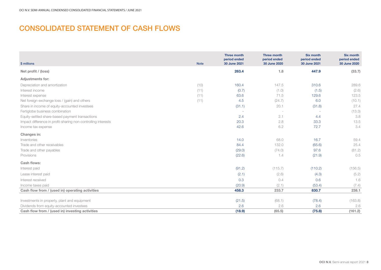# CONSOLIDATED STATEMENT OF CASH FLOWS

| \$ millions                                                   | <b>Note</b> | <b>Three month</b><br>period ended<br>30 June 2021 | <b>Three month</b><br>period ended<br>30 June 2020 | <b>Six month</b><br>period ended<br>30 June 2021 | <b>Six month</b><br>period ended<br>30 June 2020 |
|---------------------------------------------------------------|-------------|----------------------------------------------------|----------------------------------------------------|--------------------------------------------------|--------------------------------------------------|
| Net profit / (loss)                                           |             | 263.4                                              | 1.8                                                | 447.9                                            | (33.7)                                           |
| <b>Adjustments for:</b>                                       |             |                                                    |                                                    |                                                  |                                                  |
| Depreciation and amortization                                 | (10)        | 160.4                                              | 147.5                                              | 310.6                                            | 289.6                                            |
| Interest income                                               | (11)        | (0.7)                                              | (1.0)                                              | (1.5)                                            | (2.6)                                            |
| Interest expense                                              | (11)        | 63.6                                               | 71.5                                               | 129.6                                            | 123.5                                            |
| Net foreign exchange loss / (gain) and others                 | (11)        | 4.5                                                | (24.7)                                             | 6.0                                              | (10.1)                                           |
| Share in income of equity-accounted investees                 |             | (31.1)                                             | 20.1                                               | (31.8)                                           | 27.4                                             |
| Fertiglobe business combination                               |             | $\overline{\phantom{a}}$                           | $\sim$                                             |                                                  | (13.3)                                           |
| Equity-settled share-based payment transactions               |             | 2.4                                                | 2.1                                                | 4.4                                              | 3.8                                              |
| Impact difference in profit-sharing non-controlling interests |             | 20.3                                               | 2.8                                                | 33.3                                             | 13.5                                             |
| Income tax expense                                            |             | 42.6                                               | 6.2                                                | 72.7                                             | 3.4                                              |
| Changes in:                                                   |             |                                                    |                                                    |                                                  |                                                  |
| Inventories                                                   |             | 14.0                                               | 68.0                                               | 16.7                                             | 59.4                                             |
| Trade and other receivables                                   |             | 84.4                                               | 132.0                                              | (65.6)                                           | 25.4                                             |
| Trade and other payables                                      |             | (29.0)                                             | (74.0)                                             | 97.6                                             | (81.2)                                           |
| Provisions                                                    |             | (22.6)                                             | 1.4                                                | (21.9)                                           | 0.5                                              |
| Cash flows:                                                   |             |                                                    |                                                    |                                                  |                                                  |
| Interest paid                                                 |             | (91.2)                                             | (115.7)                                            | (110.2)                                          | (156.5)                                          |
| Lease interest paid                                           |             | (2.1)                                              | (2.6)                                              | (4.3)                                            | (5.2)                                            |
| Interest received                                             |             | 0.3                                                | 0.4                                                | 0.6                                              | 1.6                                              |
| Income taxes paid                                             |             | (20.9)                                             | (2.1)                                              | (53.4)                                           | (7.4)                                            |
| Cash flow from / (used in) operating activities               |             | 458.3                                              | 233.7                                              | 830.7                                            | 238.1                                            |
|                                                               |             |                                                    |                                                    |                                                  |                                                  |
| Investments in property, plant and equipment                  |             | (21.5)                                             | (68.1)                                             | (78.4)                                           | (163.8)                                          |
| Dividends from equity-accounted investees                     |             | 2.6                                                | 2.6                                                | 2.6                                              | 2.6                                              |
| Cash flow from / (used in) investing activities               |             | (18.9)                                             | (65.5)                                             | (75.8)                                           | (161.2)                                          |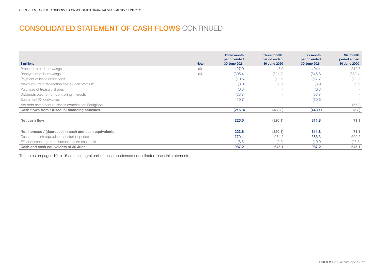# CONSOLIDATED STATEMENT OF CASH FLOWS CONTINUED

| \$ millions                                            | <b>Note</b> | Three month<br>period ended<br>30 June 2021 | Three month<br>period ended<br>30 June 2020 | <b>Six month</b><br>period ended<br>30 June 2021 | Six month<br>period ended<br>30 June 2020 |
|--------------------------------------------------------|-------------|---------------------------------------------|---------------------------------------------|--------------------------------------------------|-------------------------------------------|
| Proceeds from borrowings                               | (9)         | 127.0                                       | 48.0                                        | 494.4                                            | 512.3                                     |
| Repayment of borrowings                                | (9)         | (305.4)                                     | (521.7)                                     | (845.8)                                          | (660.4)                                   |
| Payment of lease obligations                           |             | (10.6)                                      | (12.6)                                      | (17.7)                                           | (18.9)                                    |
| Newly incurred transaction costs / call premium        |             | (3.0)                                       | (2.0)                                       | (8.9)                                            | (5.6)                                     |
| Purchase of treasury shares                            |             | (0.8)                                       | $\sim$                                      | (0.8)                                            | $\sim$                                    |
| Dividends paid to non-controlling interests            |             | (33.7)                                      |                                             | (33.7)                                           | $\sim$                                    |
| Settlement FX derivatives                              |             | 10.7                                        |                                             | (30.6)                                           |                                           |
| Net debt settlement business combination Fertiglobe    |             |                                             |                                             | $\overline{\phantom{a}}$                         | 166.8                                     |
| Cash flows from / (used in) financing activities       |             | (215.8)                                     | (488.3)                                     | (443.1)                                          | (5.8)                                     |
|                                                        |             |                                             |                                             |                                                  |                                           |
| Net cash flow                                          |             | 223.6                                       | (320.1)                                     | 311.8                                            | 71.1                                      |
|                                                        |             |                                             |                                             |                                                  |                                           |
| Net increase / (decrease) in cash and cash equivalents |             | 223.6                                       | (320.1)                                     | 311.8                                            | 71.1                                      |
| Cash and cash equivalents at start of period           |             | 770.1                                       | 974.5                                       | 686.3                                            | 600.5                                     |
| Effect of exchange rate fluctuations on cash held      |             | (6.5)                                       | (9.3)                                       | (10.9)                                           | (26.5)                                    |
| Cash and cash equivalents at 30 June                   |             | 987.2                                       | 645.1                                       | 987.2                                            | 645.1                                     |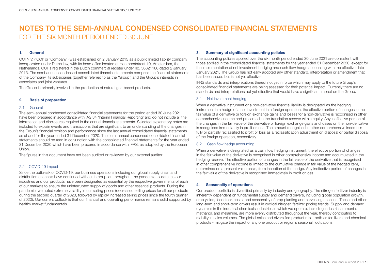#### 1. General

OCI N.V. ('OCI' or 'Company') was established on 2 January 2013 as a public limited liability company incorporated under Dutch law, with its head office located at Honthorststraat 19, Amsterdam, the Netherlands. OCI is registered in the Dutch commercial register under no. 56821166 dated 2 January 2013. The semi-annual condensed consolidated financial statements comprise the financial statements of the Company, its subsidiaries (together referred to as the 'Group') and the Group's interests in associates and joint ventures.

The Group is primarily involved in the production of natural gas-based products.

#### 2. Basis of preparation

#### 2.1 General

The semi-annual condensed consolidated financial statements for the period ended 30 June 2021 have been prepared in accordance with IAS 34 'Interim Financial Reporting' and do not include all the information and disclosures required in the annual financial statements. Selected explanatory notes are included to explain events and transactions that are significant to an understanding of the changes in the Group's financial position and performance since the last annual consolidated financial statements as at and for the year ended 31 December 2020. The semi-annual condensed consolidated financial statements should be read in conjunction with the consolidated financial statements for the year ended 31 December 2020 which have been prepared in accordance with IFRS, as adopted by the European Union.

The figures in this document have not been audited or reviewed by our external auditor.

#### 2.2 COVID-19 impact

Since the outbreak of COVID-19, our business operations including our global supply chain and distribution channels have continued without interruption throughout the pandemic to-date, as our industries and our products have been designated as essential by the respective governments of each of our markets to ensure the uninterrupted supply of goods and other essential products. During the pandemic, we noted extreme volatility in our selling prices (decreased selling prices for all our products during the second quarter of 2020, followed by rapidly increased selling prices since the fourth quarter of 2020). Our current outlook is that our financial and operating performance remains solid supported by healthy market fundamentals.

#### 3. Summary of significant accounting policies

The accounting policies applied over the six month period ended 30 June 2021 are consistent with those applied in the consolidated financial statements for the year ended 31 December 2020, except for the implementation of net investment hedging and cash flow hedge accounting with the effective date 1 January 2021. The Group has not early adopted any other standard, interpretation or amendment that has been issued but is not yet effective.

IFRS standards and interpretations thereof not yet in force which may apply to the future Group's consolidated financial statements are being assessed for their potential impact. Currently there are no standards and interpretations not yet effective that would have a significant impact on the Group.

#### 3.1 Net investment hedging

When a derivative instrument or a non-derivative financial liability is designated as the hedging instrument in a hedge of a net investment in a foreign operation, the effective portion of changes in the fair value of a derivative or foreign exchange gains and losses for a non-derivative is recognised in other comprehensive income and presented in the translation reserve within equity. Any ineffective portion of the changes in the fair value of the derivative or foreign exchange gains and losses on the non-derivative is recognised immediately in profit or loss. The amount recognised in other comprehensive income is fully or partially reclassified to profit or loss as a reclassification adjustment on disposal or partial disposal of the foreign operation, respectively.

#### 3.2 Cash flow hedge accounting

When a derivative is designated as a cash flow hedging instrument, the effective portion of changes in the fair value of the derivative is recognised in other comprehensive income and accumulated in the hedging reserve. The effective portion of changes in the fair value of the derivative that is recognised in other comprehensive income is limited to the cumulative change in fair value of the hedged item, determined on a present value basis, from inception of the hedge. Any ineffective portion of changes in the fair value of the derivative is recognised immediately in profit or loss.

#### 4. Seasonality of operations

Our product portfolio is diversified primarily by industry and geography. The nitrogen fertilizer industry is inherently dependent on fundamental supply and demand drivers, including global population growth, crop yields, feedstock costs, and seasonality of crop planting and harvesting seasons. These and other long-term and short-term drivers result in cyclical nitrogen fertilizer pricing trends. Supply and demand dynamics in the industrial chemicals industries in which we operate, including industrial ammonia, methanol, and melamine, are more evenly distributed throughout the year, thereby contributing to stability in sales volumes. The global sales and diversified product mix - both as fertilizers and chemical products - mitigate the impact of any one product or region's seasonal fluctuations.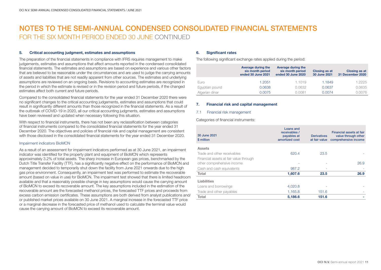#### 5. Critical accounting judgment, estimates and assumptions

The preparation of the financial statements in compliance with IFRS requires management to make judgements, estimates and assumptions that affect amounts reported in the condensed consolidated financial statements. The estimates and assumptions are based on experience and various other factors that are believed to be reasonable under the circumstances and are used to judge the carrying amounts of assets and liabilities that are not readily apparent from other sources. The estimates and underlying assumptions are reviewed on an ongoing basis. Revisions to accounting estimates are recognized in the period in which the estimate is revised or in the revision period and future periods, if the changed estimates affect both current and future periods.

Compared to the consolidated financial statements for the year ended 31 December 2020 there were no significant changes to the critical accounting judgements, estimates and assumptions that could result in significantly different amounts than those recognized in the financial statements. As a result of the outbreak of COVID-19 in 2020, all our critical accounting judgments, estimates and assumptions have been reviewed and updated when necessary following this situation.

With respect to financial instruments, there has not been any reclassification between categories of financial instruments compared to the consolidated financial statements for the year ended 31 December 2020. The objectives and policies of financial risk and capital management are consistent with those disclosed in the consolidated financial statements for the year ended 31 December 2020.

#### Impairment indicators BioMCN

As a result of an assessment for impairment indicators performed as at 30 June 2021, an impairment indicator was identified for the property plant and equipment of BioMCN which represents approximately 3.2% of total assets. The sharp increase in European gas prices, benchmarked by the Dutch Title Transfer Facility (TTF), has a significantly negative effect on the performance of BioMCN and management decided to temporarily shut down the facility from June 2021 onwards due to the high gas price environment. Consequently, an impairment test was performed to estimate the recoverable amount (based on value in use) for BioMCN. The impairment test showed that there is limited headroom available and that a reasonably possible change in key assumptions would cause the carrying amount of BioMCN to exceed its recoverable amount. The key assumptions included in the estimation of the recoverable amount are the forecasted methanol prices, the forecasted TTF prices and proceeds from excess carbon emission certificates. These assumptions are both derived from analyst publications and/ or published market prices available on 30 June 2021. A marginal increase in the forecasted TTF price or a marginal decrease in the forecasted price of methanol used to calculate the terminal value would cause the carrying amount of BioMCN to exceed its recoverable amount.

#### 6. Significant rates

The following significant exchange rates applied during the period:

|                | Average during the<br>six month period<br>ended 30 June 2021 | Average during the<br>six month period<br>ended 30 June 2020 | <b>Closing as at</b><br>30 June 2021 | <b>Closing as at</b><br>31 December 2020 |
|----------------|--------------------------------------------------------------|--------------------------------------------------------------|--------------------------------------|------------------------------------------|
| Euro           | 1.2051                                                       | 1.1019                                                       | 1.1849                               | 1.2225                                   |
| Egyptian pound | 0.0638                                                       | 0.0632                                                       | 0.0637                               | 0.0635                                   |
| Algerian dinar | 0.0075                                                       | 0.0081                                                       | 0.0074                               | 0.0076                                   |

#### 7. Financial risk and capital management

#### 7.1 Financial risk management

Categories of financial instruments:

| 30 June 2021<br>\$ million                                           | Loans and<br>receivables /<br>payables at<br>amortized cost | <b>Derivatives</b><br>at fair value | Financial assets at fair<br>value through other<br>comprehensive income |
|----------------------------------------------------------------------|-------------------------------------------------------------|-------------------------------------|-------------------------------------------------------------------------|
| <b>Assets</b>                                                        |                                                             |                                     |                                                                         |
| Trade and other receivables                                          | 620.4                                                       | 23.5                                |                                                                         |
| Financial assets at fair value through<br>other comprehensive income |                                                             |                                     | 26.9                                                                    |
| Cash and cash equivalents                                            | 987.2                                                       |                                     |                                                                         |
| Total                                                                | 1,607.6                                                     | 23.5                                | 26.9                                                                    |
| <b>Liabilities</b>                                                   |                                                             |                                     |                                                                         |
| Loans and borrowings                                                 | 4,020.8                                                     |                                     |                                                                         |
| Trade and other payables                                             | 1,165.8                                                     | 151.6                               |                                                                         |
| Total                                                                | 5,186.6                                                     | 151.6                               |                                                                         |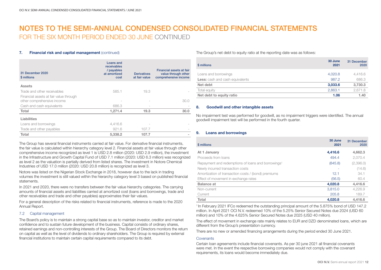#### 7. Financial risk and capital management (continued)

| 31 December 2020<br>\$ millions                                      | Loans and<br>receivables<br>/ payables<br>at amortized<br>cost | <b>Derivatives</b><br>at fair value | Financial assets at fair<br>value through other<br>comprehensive income |
|----------------------------------------------------------------------|----------------------------------------------------------------|-------------------------------------|-------------------------------------------------------------------------|
| <b>Assets</b>                                                        |                                                                |                                     |                                                                         |
| Trade and other receivables                                          | 585.1                                                          | 19.3                                |                                                                         |
| Financial assets at fair value through<br>other comprehensive income |                                                                |                                     | 30.0                                                                    |
| Cash and cash equivalents                                            | 686.3                                                          |                                     |                                                                         |
| Total                                                                | 1,271.4                                                        | 19.3                                | 30.0                                                                    |
| Liabilities                                                          |                                                                |                                     |                                                                         |
| Loans and borrowings                                                 | 4.416.6                                                        |                                     |                                                                         |
| Trade and other payables                                             | 921.6                                                          | 107.7                               |                                                                         |
| Total                                                                | 5,338.2                                                        | 107.7                               |                                                                         |

The Group has several financial instruments carried at fair value. For derivative financial instruments, the fair value is calculated within hierarchy category level 2. Financial assets at fair value through other comprehensive income recognized as level 1 is USD 2.8 million (2020: USD 2.9 million), the investment in the Infrastructure and Growth Capital Fund of USD 7.1 million (2020: USD 6.3 million) was recognized as level 2 as the valuation is partially derived from listed shares. The investment in Notore Chemical Industries of USD 17.0 million (2020: USD 20.8 million) is recognized as level 3.

Notore was listed on the Nigerian Stock Exchange in 2018, however due to the lack in trading volumes the investment is still valued within the hierarchy category level 3 based on published financial statements.

In 2021 and 2020, there were no transfers between the fair value hierarchy categories. The carrying amounts of financial assets and liabilities carried at amortized cost (loans and borrowings, trade and other receivables and trade and other payables) approximates their fair values.

For a general description of the risks related to financial instruments, reference is made to the 2020 Annual Report.

#### 7.2 Capital management

The Board's policy is to maintain a strong capital base so as to maintain investor, creditor and market confidence and to sustain future development of the business. Capital consists of ordinary shares, retained earnings and non-controlling interests of the Group. The Board of Directors monitors the return on capital as well as the level of dividends to ordinary shareholders. The Group is required by external financial institutions to maintain certain capital requirements compared to its debt.

The Group's net debt to equity ratio at the reporting date was as follows:

| \$ millions                            | 30 June<br>2021 | 31 December<br>2020 |
|----------------------------------------|-----------------|---------------------|
| Loans and borrowings                   | 4,020.8         | 4,416.6             |
| <b>Less:</b> cash and cash equivalents | 987.2           | 686.3               |
| Net debt                               | 3,033.6         | 3,730.3             |
| Total equity                           | 2.863.1         | 2.671.8             |
| Net debt to equity ratio               | 1.06            | 1.40                |

#### 8. Goodwill and other intangible assets

No impairment test was performed for goodwill, as no impairment triggers were identified. The annual goodwill impairment test will be performed in the fourth quarter.

#### 9. Loans and borrowings

| \$ millions                                                    | 30 June<br>2021 | 31 December<br>2020 |
|----------------------------------------------------------------|-----------------|---------------------|
| At 1 January                                                   | 4,416.6         | 4,662.3             |
| Proceeds from loans                                            | 494.4           | 2,070.4             |
| Repayment and redemptions of loans and borrowings <sup>1</sup> | (845.8)         | (2,396.0)           |
| Newly incurred transaction costs                               |                 | (14.6)              |
| Amortization of transaction costs / (bond) premiums            | 12.1            | 34.1                |
| Effect of movement in exchange rates                           | (56.5)          | 60.4                |
| <b>Balance at</b>                                              | 4,020.8         | 4,416.6             |
| Non-current                                                    | 3.815.0         | 4.226.9             |
| Current                                                        | 205.8           | 189.7               |
| Total                                                          | 4.020.8         | 4.416.6             |

1 In February 2021 IFCo redeemed the outstanding principal amount of the 5.875% bond of USD 147.2 million. In April 2021 OCI N.V. redeemed 10% of the 5.25% Senior Secured Notes due 2024 (USD 60 million) and 10% of the 4.625% Senior Secured Notes due 2025 (USD 40 million).

The effect of movement in exchange rate mainly relates to EUR and DZD denominated loans, which are different from the Group's presentation currency.

There are no new or amended financing arrangements during the period ended 30 June 2021.

#### **Covenants**

Certain loan agreements include financial covenants. As per 30 june 2021 all financial covenants were met. In the event the respective borrowing companies would not comply with the covenant requirements, its loans would become immediately due.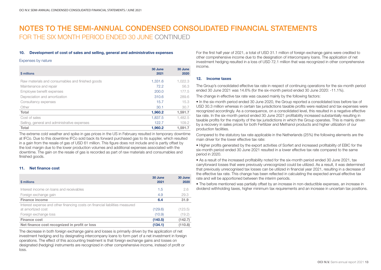#### 10. Development of cost of sales and selling, general and administrative expenses

#### Expenses by nature

| \$ millions                                      | 30 June<br>2021 | 30 June<br>2020 |
|--------------------------------------------------|-----------------|-----------------|
| Raw materials and consumables and finished goods | 1.331.6         | 1,022.3         |
| Maintenance and repair                           | 72.2            | 56.3            |
| Employee benefit expenses                        | 200.0           | 177.5           |
| Depreciation and amortization                    | 310.6           | 289.6           |
| Consultancy expenses                             | 15.7            | 15.3            |
| Other                                            | 30.1            | 30.7            |
| Total                                            | 1,960.2         | 1,591.7         |
| Cost of sales                                    | 1.837.5         | 1.482.5         |
| Selling, general and administrative expenses     | 122.7           | 109.2           |
| Total                                            | 1.960.2         | 1.591.7         |

The extreme cold weather and spike in gas prices in the US in February resulted in temporary downtime at IFCo. Due to this downtime IFCo sold back its forward purchased gas to its supplier, which resulted in a gain from the resale of gas of USD 61 million. This figure does not include and is partly offset by the lost margin due to the lower production volumes and additional expenses associated with the downtime. The gain on the resale of gas is recorded as part of raw materials and consumables and finished goods.

#### 11. Net finance cost

| \$ millions                                                                                       | 30 June<br>2021 | 30 June<br>2020 |
|---------------------------------------------------------------------------------------------------|-----------------|-----------------|
| Interest income on loans and receivables                                                          | 1.5             | 2.6             |
| Foreign exchange gain                                                                             | 4.9             | 29.3            |
| <b>Finance income</b>                                                                             | 6.4             | 31.9            |
| Interest expense and other financing costs on financial liabilities measured<br>at amortized cost | (129.6)         | (123.5)         |
| Foreign exchange loss                                                                             | (10.9)          | (19.2)          |
| Finance cost                                                                                      | (140.5)         | (142.7)         |
| Net finance cost recognized in profit or loss                                                     | (134.1)         | (110.8)         |

The decrease in both foreign exchange gains and losses is primarily driven by the application of net investment hedging and by designating intercompany loans to form part of a net investment in foreign operations. The effect of this accounting treatment is that foreign exchange gains and losses on designated (hedging) instruments are recognized in other comprehensive income, instead of profit or loss.

For the first half year of 2021, a total of USD 31.1 million of foreign exchange gains were credited to other comprehensive income due to the designation of intercompany loans. The application of net investment hedging resulted in a loss of USD 72.1 million that was recognized in other comprehensive income.

#### 12. Income taxes

The Group's consolidated effective tax rate in respect of continuing operations for the six-month period ended 30 June 2021 was 14.6% (for the six-month period ended 30 June 2020: -11.1%).

The change in effective tax rate was caused mainly by the following factors:

• In the six-month period ended 30 June 2020, the Group reported a consolidated loss before tax of USD 30.3 million whereas in certain tax jurisdictions taxable profits were realized and tax expenses were recognized accordingly. As a consequence, on a consolidated level, this resulted in a negative effective tax rate. In the six-month period ended 30 June 2021 profitability increased substantially resulting in taxable profits for the majority of the tax jurisdictions in which the Group operates. This is mainly driven by a recovery in sales prices for both Fertilizer and Methanol products and higher utilization of our production facilities.

Compared to the statutory tax rate applicable in the Netherlands (25%) the following elements are the main driver for the lower effective tax rate:

• Higher profits generated by the export activities of Sorfert and increased profitability of EBIC for the six-month period ended 30 June 2021 resulted in a lower effective tax rate compared to the same period in 2020.

• As a result of the increased profitability noted for the six-month period ended 30 June 2021, tax carryforward losses that were previously unrecognized could be utilized. As a result, it was determined that previously unrecognised tax losses can be utilized in financial year 2021, resulting in a decrease of the effective tax rate. This change has been reflected in calculating the expected annual effective tax rate and will be apportioned between the interim periods.

• The before mentioned was partially offset by an increase in non-deductible expenses, an increase in dividend withholding taxes, higher minimum tax requirements and an increase in uncertain tax positions.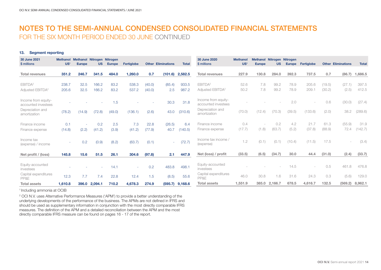#### 13. Segment reporting

| 30 June 2021<br>\$ millions                | US <sup>1</sup> | <b>Methanol Methanol Nitrogen</b><br><b>Europe</b> | <b>US</b> | <b>Nitrogen</b><br><b>Europe</b> | Fertiglobe |        | <b>Other Eliminations</b> | <b>Total</b> | 30 June 2020<br>\$ millions                | <b>Methanol</b><br>US <sup>1</sup> | <b>Europe</b> | Methanol Nitrogen Nitrogen<br><b>US</b> | <b>Europe</b> | Fertiglobe |        | <b>Other Eliminations</b> | <b>Total</b>      |
|--------------------------------------------|-----------------|----------------------------------------------------|-----------|----------------------------------|------------|--------|---------------------------|--------------|--------------------------------------------|------------------------------------|---------------|-----------------------------------------|---------------|------------|--------|---------------------------|-------------------|
| <b>Total revenues</b>                      | 351.2           | 246.7                                              | 341.5     | 484.0                            | 1,260.0    | 0.7    | (101.6)                   | 2,582.5      | <b>Total revenues</b>                      | 227.9                              | 130.8         | 284.0                                   | 392.3         | 737.5      | 0.7    | (86.7)                    | 1,686.5           |
| EBITDA <sup>2</sup>                        | 238.7           | 32.5                                               | 166.2     | 83.2                             | 538.3      | (40.0) | (85.4)                    | 933.5        | EBITDA <sup>2</sup>                        | 52.6                               | 7.8           | 99.2                                    | 78.9          | 205.6      | (19.5) | (27.1)                    | 397.5             |
| Adjusted EBITDA <sup>2</sup>               | 205.6           | 32.5                                               | 166.2     | 83.2                             | 537.2      | (40.0) | 2.5                       | 987.2        | Adjusted EBITDA <sup>2</sup>               | 50.2                               | 7.8           | 99.2                                    | 78.9          | 209.1      | (30.2) | (2.5)                     | 412.5             |
| Income from equity-<br>accounted investees |                 |                                                    |           | 1.5                              |            |        | 30.3                      | 31.8         | Income from equity-<br>accounted investees |                                    |               |                                         | 2.0           |            | 0.6    | (30.0)                    | (27.4)            |
| Depreciation and<br>amortization           | (78.2)          | (14.9)                                             | (72.8)    | (49.0)                           | (136.1)    | (2.6)  | 43.0                      | (310.6)      | Depreciation and<br>amortization           | (70.0)                             | (12.4)        | (70.3)                                  | (39.5)        | (133.6)    | (2.0)  | 38.2                      | (289.6)           |
| Finance income                             | 0.1             | ÷                                                  | 0.2       | 2.5                              | 7.3        | 22.8   | (26.5)                    | 6.4          | Finance income                             | 0.4                                |               | 0.2                                     | 4.2           | 21.7       | 61.3   | (55.9)                    | 31.9              |
| Finance expense                            | (14.8)          | (2.2)                                              | (41.2)    | (3.9)                            | (41.2)     | (77.9) | 40.7                      | (140.5)      | Finance expense                            | (17.7)                             | (1.8)         | (63.7)                                  | (5.2)         | (37.8)     | (88.9) | 72.4                      | (142.7)           |
| Income tax<br>(expense) / income           |                 | 0.2                                                | (0.9)     | (8.2)                            | (63.7)     | (0.1)  | $\sim$                    | (72.7)       | Income tax income /<br>(expense)           | 1.2                                | (0.1)         | (0.1)                                   | (10.4)        | (11.5)     | 17.5   |                           | (3.4)             |
| Net profit / (loss)                        | 145.8           | 15.6                                               | 51.5      | 26.1                             | 304.6      | (97.8) | 2.1                       | 447.9        | Net (loss) / profit                        | (33.5)                             | (6.5)         | (34.7)                                  | 30.0          | 44.4       | (31.0) | (2.4)                     | (33.7)            |
| Equity-accounted<br>investees              |                 |                                                    |           | 14.1                             | ÷          | 0.2    | 483.8                     | 498.1        | Equity-accounted<br>investees              |                                    |               |                                         | 14.5          |            | 0.5    | 461.8                     | 476.8             |
| Capital expenditures<br>PP&E               | 12.3            | 7.7                                                | 7.4       | 22.8                             | 12.4       | 1.5    | (8.5)                     | 55.6         | Capital expenditures<br>PP&E               | 46.0                               | 30.8          | 1.6                                     | 31.6          | 24.3       | 0.3    | (5.6)                     | 129.0             |
| <b>Total assets</b>                        | 1,610.8         | 396.0                                              | 2,094.1   | 710.2                            | 4,678.3    | 274.9  | (595.7)                   | 9,168.6      | <b>Total assets</b>                        | 1,551.9                            | 385.0         | 2,166.7                                 | 678.5         | 4,616.7    | 132.5  |                           | $(569.2)$ 8,962.1 |

<sup>1</sup> Including ammonia at OCIB

2 OCI N.V. uses Alternative Performance Measures ('APM') to provide a better understanding of the underlying developments of the performance of the business. The APMs are not defined in IFRS and should be used as supplementary information in conjunction with the most directly comparable IFRS measures. The definition of the APM and a detailed reconciliation between the APM and the most directly comparable IFRS measure can be found on pages 16 - 17 of the report.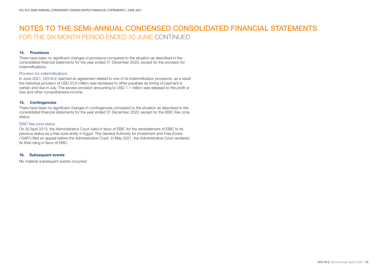#### 14. Provisions

There have been no significant changes in provisions compared to the situation as described in the consolidated financial statements for the year ended 31 December 2020, except for the provision for indemnifications.

#### Provision for indemnifications

In June 2021, OCI N.V. reached an agreement related to one of its indemnification provisions, as a result the historical provision of USD 23.6 million was reclassed to other payables as timing of payment is certain and due in July. The excess provision amounting to USD 1.1 million was released to the profit or loss and other comprehensive income.

#### 15. Contingencies

There have been no significant changes in contingencies compared to the situation as described in the consolidated financial statements for the year ended 31 December 2020, except for the EBIC free zone status.

#### EBIC free zone status

On 20 April 2013, the Administrative Court ruled in favor of EBIC for the reinstatement of EBIC to its previous status as a free zone entity in Egypt. The General Authority for Investment and Free Zones ('GAFI') filed an appeal before the Administrative Court. In May 2021, the Administrative Court rendered its final ruling in favor of EBIC.

#### 16. Subsequent events

No material subsequent events occurred.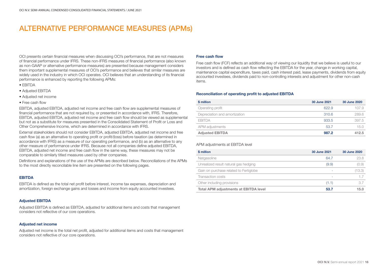### ALTERNATIVE PERFORMANCE MEASURES (APMs)

OCI presents certain financial measures when discussing OCI's performance, that are not measures of financial performance under IFRS. These non-IFRS measures of financial performance (also known as non-GAAP or alternative performance measures) are presented because management considers them important supplemental measures of OCI's performance and believes that similar measures are widely used in the industry in which OCI operates. OCI believes that an understanding of its financial performance is enhanced by reporting the following APMs:

- EBITDA
- Adjusted EBITDA
- Adjusted net income
- Free cash flow

EBITDA, adjusted EBITDA, adjusted net income and free cash flow are supplemental measures of financial performance that are not required by, or presented in accordance with, IFRS. Therefore, EBITDA, adjusted EBITDA, adjusted net income and free cash flow should be viewed as supplemental but not as a substitute for measures presented in the Consolidated Statement of Profit or Loss and Other Comprehensive Income, which are determined in accordance with IFRS.

External stakeholders should not consider EBITDA, adjusted EBITDA, adjusted net income and free cash flow (a) as an alternative to operating profit or profit/(loss) before taxation (as determined in accordance with IFRS) as a measure of our operating performance, and (b) as an alternative to any other measure of performance under IFRS. Because not all companies define adjusted EBITDA, EBITDA, adjusted net income and free cash flow in the same way, these measures may not be comparable to similarly titled measures used by other companies.

Definitions and explanations of the use of the APMs are described below. Reconciliations of the APMs to the most directly reconcilable line item are presented on the following pages.

#### EBITDA

EBITDA is defined as the total net profit before interest, income tax expenses, depreciation and amortization, foreign exchange gains and losses and income from equity accounted investees.

#### Adjusted EBITDA

Adjusted EBITDA is defined as EBITDA, adjusted for additional items and costs that management considers not reflective of our core operations.

#### Adjusted net income

Adjusted net income is the total net profit, adjusted for additional items and costs that management considers not reflective of our core operations.

#### Free cash flow

Free cash flow (FCF) reflects an additional way of viewing our liquidity that we believe is useful to our investors and is defined as cash flow reflecting the EBITDA for the year, change in working capital, maintenance capital expenditure, taxes paid, cash interest paid, lease payments, dividends from equity accounted investees, dividends paid to non-controlling interests and adjustment for other non-cash items.

#### Reconciliation of operating profit to adjusted EBITDA

| \$ million                    | 30 June 2021 | 30 June 2020 |
|-------------------------------|--------------|--------------|
| Operating profit              | 622.9        | 107.9        |
| Depreciation and amortization | 310.6        | 289.6        |
| <b>EBITDA</b>                 | 933.5        | 397.5        |
| APM adjustments               | 53.7         | 15.0         |
| <b>Adjusted EBITDA</b>        | 987.2        | 412.5        |

#### APM adjustments at EBITDA level

| \$ million                                   | 30 June 2021 | 30 June 2020 |
|----------------------------------------------|--------------|--------------|
| Natgasoline                                  | 64.7         | 23.8         |
| Unrealized result natural gas hedging        | (9.9)        | (0.9)        |
| Gain on purchase related to Fertiglobe       |              | (13.3)       |
| Transaction costs                            |              | 1.7          |
| Other including provisions                   | (1.1)        | 3.7          |
| <b>Total APM adjustments at EBITDA level</b> | 53.7         | 15.0         |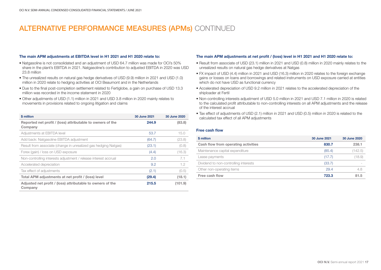# ALTERNATIVE PERFORMANCE MEASURES (APMs) CONTINUED

#### The main APM adjustments at EBITDA level in H1 2021 and H1 2020 relate to:

- Natgasoline is not consolidated and an adjustment of USD 64.7 million was made for OCI's 50% share in the plant's EBITDA in 2021. Natgasoline's contribution to adjusted EBITDA in 2020 was USD 23.8 million
- The unrealized results on natural gas hedge derivatives of USD (9.9) million in 2021 and USD (1.0) million in 2020 relate to hedging activities at OCI Beaumont and in the Netherlands
- Due to the final post-completion settlement related to Fertiglobe, a gain on purchase of USD 13.3 million was recorded in the income statement in 2020
- Other adjustments of USD (1.1) million in 2021 and USD 3.8 million in 2020 mainly relates to movements in provisions related to ongoing litigation and claims

| \$ million                                                            | 30 June 2021 | 30 June 2020 |
|-----------------------------------------------------------------------|--------------|--------------|
| Reported net profit / (loss) attributable to owners of the<br>Company | 244.9        | (83.8)       |
| Adjustments at EBITDA level                                           | 53.7         | 15.0         |
| Add back: Natgasoline EBITDA adjustment                               | (64.7)       | (23.8)       |
| Result from associate (change in unrealized gas hedging Natgas)       | (23.1)       | (0.8)        |
| Forex (gain) / loss on USD exposure                                   | (4.4)        | (16.3)       |
| Non-controlling interests adjustment / release interest accrual       | 2.0          | 7.1          |
| Accelerated depreciation                                              | 9.2          | 1.2          |
| Tax effect of adjustments                                             | (2.1)        | (0.5)        |
| Total APM adjustments at net profit / (loss) level                    | (29.4)       | (18.1)       |
| Adjusted net profit / (loss) attributable to owners of the<br>Company | 215.5        | (101.9)      |

#### The main APM adjustments at net profit / (loss) level in H1 2021 and H1 2020 relate to:

- Result from associate of USD (23.1) million in 2021 and USD (0.8) million in 2020 mainly relates to the unrealized results on natural gas hedge derivatives at Natgas
- FX impact of USD (4.4) million in 2021 and USD (16.3) million in 2020 relates to the foreign exchange gains or losses on loans and borrowings and related instruments on USD exposure carried at entities which do not have USD as functional currency
- Accelerated depreciation of USD 9.2 million in 2021 relates to the accelerated depreciation of the shiploader at Fertil
- Non-controlling interests adjustment of USD 5.0 million in 2021 and USD 7.1 million in 2020 is related to the calculated profit attributable to non-controlling interests on all APM adjustments and the release of the interest accrual
- Tax effect of adjustments of USD (2.1) million in 2021 and USD (0.5) million in 2020 is related to the calculated tax effect of all APM adjustments

#### Free cash flow

| \$ million                            | 30 June 2021 | 30 June 2020 |
|---------------------------------------|--------------|--------------|
| Cash flow from operating activities   | 830.7        | 238.1        |
| Maintenance capital expenditure       | (85.4)       | (142.5)      |
| Lease payments                        | (17.7)       | (18.9)       |
| Dividend to non-controlling interests | (33.7)       |              |
| Other non-operating items             | 29.4         | 4.8          |
| Free cash flow                        | 723.3        | 81.5         |